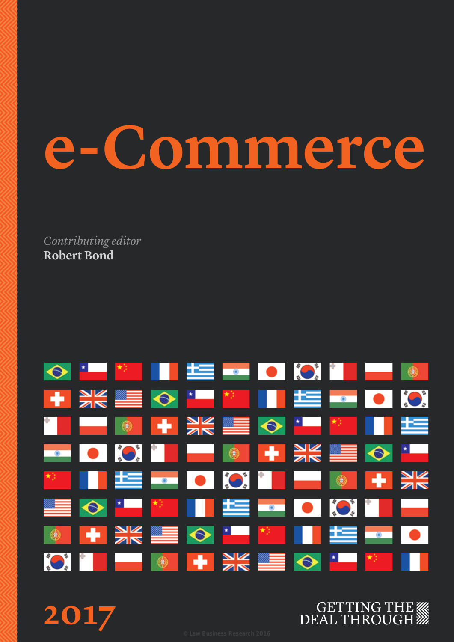# **e-Commerce**

*Contributing editor* **Robert Bond**



**2017**

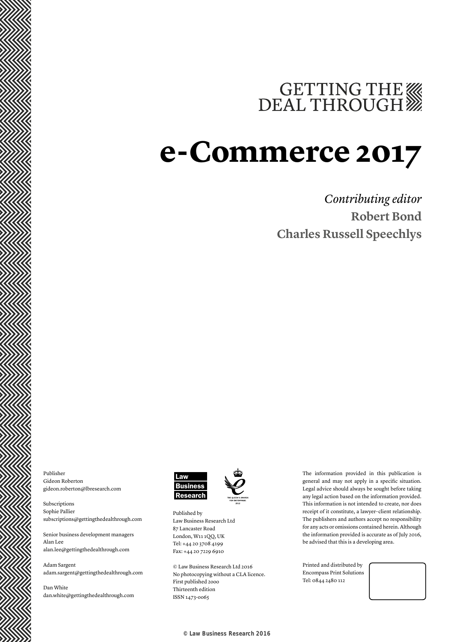# GETTING THE WE DEAL THROUGH

# **e-Commerce 2017**

# *Contributing editor* **Robert Bond Charles Russell Speechlys**

Publisher Gideon Roberton gideon.roberton@lbresearch.com

Subscriptions Sophie Pallier subscriptions@gettingthedealthrough.com

Senior business development managers Alan Lee alan.lee@gettingthedealthrough.com

Adam Sargent adam.sargent@gettingthedealthrough.com

Dan White dan.white@gettingthedealthrough.com



Published by Law Business Research Ltd 87 Lancaster Road London, W11 1QQ, UK Tel: +44 20 3708 4199 Fax: +44 20 7229 6910

© Law Business Research Ltd 2016 No photocopying without a CLA licence. First published 2ooo Thirteenth edition ISSN 1473-oo65

The information provided in this publication is general and may not apply in a specific situation. Legal advice should always be sought before taking any legal action based on the information provided. This information is not intended to create, nor does receipt of it constitute, a lawyer–client relationship. The publishers and authors accept no responsibility for any acts or omissions contained herein. Although the information provided is accurate as of July 2016, be advised that this is a developing area.

Printed and distributed by Encompass Print Solutions Tel: 0844 2480 112



© Law Business Research 2016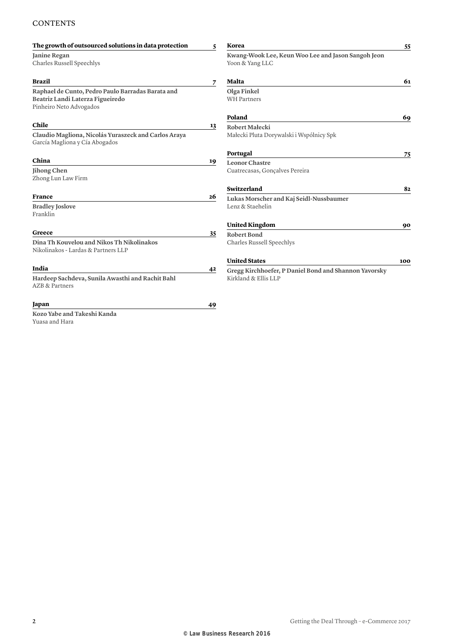### **CONTENTS**

| The growth of outsourced solutions in data protection                                  | 5  | Korea                                                                 | 55  |
|----------------------------------------------------------------------------------------|----|-----------------------------------------------------------------------|-----|
| Janine Regan<br>Charles Russell Speechlys                                              |    | Kwang-Wook Lee, Keun Woo Lee and Jason Sangoh Jeon<br>Yoon & Yang LLC |     |
| Brazil                                                                                 | 7  | Malta                                                                 | 61  |
| Raphael de Cunto, Pedro Paulo Barradas Barata and                                      |    | Olga Finkel                                                           |     |
| Beatriz Landi Laterza Figueiredo<br>Pinheiro Neto Advogados                            |    | <b>WH Partners</b>                                                    |     |
|                                                                                        |    | Poland                                                                | 69  |
| Chile                                                                                  | 13 | Robert Małecki                                                        |     |
| Claudio Magliona, Nicolás Yuraszeck and Carlos Araya<br>García Magliona y Cía Abogados |    | Małecki Pluta Dorywalski i Wspólnicy Spk                              |     |
|                                                                                        |    | Portugal                                                              | 75  |
| China                                                                                  | 19 | <b>Leonor Chastre</b>                                                 |     |
| Jihong Chen<br>Zhong Lun Law Firm                                                      |    | Cuatrecasas, Gonçalves Pereira                                        |     |
|                                                                                        |    | Switzerland                                                           | 82  |
| <b>France</b>                                                                          | 26 | Lukas Morscher and Kaj Seidl-Nussbaumer                               |     |
| <b>Bradley Joslove</b><br>Franklin                                                     |    | Lenz & Staehelin                                                      |     |
|                                                                                        |    | <b>United Kingdom</b>                                                 | 90  |
| Greece                                                                                 | 35 | <b>Robert Bond</b>                                                    |     |
| Dina Th Kouvelou and Nikos Th Nikolinakos<br>Nikolinakos - Lardas & Partners LLP       |    | Charles Russell Speechlys                                             |     |
|                                                                                        |    | <b>United States</b>                                                  | 100 |
| India                                                                                  | 42 | Gregg Kirchhoefer, P Daniel Bond and Shannon Yavorsky                 |     |
| Hardeep Sachdeva, Sunila Awasthi and Rachit Bahl<br><b>AZB &amp; Partners</b>          |    | Kirkland & Ellis LLP                                                  |     |
| Japan                                                                                  | 49 |                                                                       |     |
| Kozo Yabe and Takeshi Kanda                                                            |    |                                                                       |     |
| Yuasa and Hara                                                                         |    |                                                                       |     |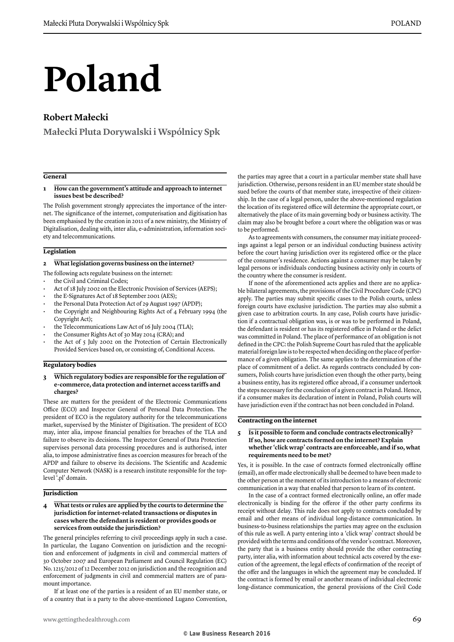# **Poland**

## **Robert Małecki**

**Małecki Pluta Dorywalski i Wspólnicy Spk**

#### **General**

#### **1 How can the government's attitude and approach to internet issues best be described?**

The Polish government strongly appreciates the importance of the internet. The significance of the internet, computerisation and digitisation has been emphasised by the creation in 2011 of a new ministry, the Ministry of Digitalisation, dealing with, inter alia, e-administration, information society and telecommunications.

#### **Legislation**

#### **2 What legislation governs business on the internet?**

The following acts regulate business on the internet:

- the Civil and Criminal Codes;
- Act of 18 July 2002 on the Electronic Provision of Services (AEPS);
- the E-Signatures Act of 18 September 2001 (AES);
- the Personal Data Protection Act of 29 August 1997 (APDP);
- the Copyright and Neighbouring Rights Act of 4 February 1994 (the Copyright Act);
- the Telecommunications Law Act of 16 July 2004 (TLA);
- the Consumer Rights Act of 30 May 2014 (CRA); and
- the Act of 5 July 2002 on the Protection of Certain Electronically Provided Services based on, or consisting of, Conditional Access.

#### **Regulatory bodies**

#### **3 Which regulatory bodies are responsible for the regulation of e-commerce, data protection and internet access tariffs and charges?**

These are matters for the president of the Electronic Communications Office (ECO) and Inspector General of Personal Data Protection. The president of ECO is the regulatory authority for the telecommunications market, supervised by the Minister of Digitisation. The president of ECO may, inter alia, impose financial penalties for breaches of the TLA and failure to observe its decisions. The Inspector General of Data Protection supervises personal data processing procedures and is authorised, inter alia, to impose administrative fines as coercion measures for breach of the APDP and failure to observe its decisions. The Scientific and Academic Computer Network (NASK) is a research institute responsible for the toplevel '.pl' domain.

#### **Jurisdiction**

**4 What tests or rules are applied by the courts to determine the jurisdiction for internet-related transactions or disputes in cases where the defendant is resident or provides goods or services from outside the jurisdiction?**

The general principles referring to civil proceedings apply in such a case. In particular, the Lugano Convention on jurisdiction and the recognition and enforcement of judgments in civil and commercial matters of 30 October 2007 and European Parliament and Council Regulation (EC) No. 1215/2012 of 12 December 2012 on jurisdiction and the recognition and enforcement of judgments in civil and commercial matters are of paramount importance.

If at least one of the parties is a resident of an EU member state, or of a country that is a party to the above-mentioned Lugano Convention, the parties may agree that a court in a particular member state shall have jurisdiction. Otherwise, persons resident in an EU member state should be sued before the courts of that member state, irrespective of their citizenship. In the case of a legal person, under the above-mentioned regulation the location of its registered office will determine the appropriate court, or alternatively the place of its main governing body or business activity. The claim may also be brought before a court where the obligation was or was to be performed.

As to agreements with consumers, the consumer may initiate proceedings against a legal person or an individual conducting business activity before the court having jurisdiction over its registered office or the place of the consumer's residence. Actions against a consumer may be taken by legal persons or individuals conducting business activity only in courts of the country where the consumer is resident.

If none of the aforementioned acts applies and there are no applicable bilateral agreements, the provisions of the Civil Procedure Code (CPC) apply. The parties may submit specific cases to the Polish courts, unless foreign courts have exclusive jurisdiction. The parties may also submit a given case to arbitration courts. In any case, Polish courts have jurisdiction if a contractual obligation was, is or was to be performed in Poland, the defendant is resident or has its registered office in Poland or the delict was committed in Poland. The place of performance of an obligation is not defined in the CPC: the Polish Supreme Court has ruled that the applicable material foreign law is to be respected when deciding on the place of performance of a given obligation. The same applies to the determination of the place of commitment of a delict. As regards contracts concluded by consumers, Polish courts have jurisdiction even though the other party, being a business entity, has its registered office abroad, if a consumer undertook the steps necessary for the conclusion of a given contract in Poland. Hence, if a consumer makes its declaration of intent in Poland, Polish courts will have jurisdiction even if the contract has not been concluded in Poland.

#### **Contracting on the internet**

#### **5 Is it possible to form and conclude contracts electronically? If so, how are contracts formed on the internet? Explain whether 'click wrap' contracts are enforceable, and if so, what requirements need to be met?**

Yes, it is possible. In the case of contracts formed electronically offline (email), an offer made electronically shall be deemed to have been made to the other person at the moment of its introduction to a means of electronic communication in a way that enabled that person to learn of its content.

In the case of a contract formed electronically online, an offer made electronically is binding for the offeror if the other party confirms its receipt without delay. This rule does not apply to contracts concluded by email and other means of individual long-distance communication. In business-to-business relationships the parties may agree on the exclusion of this rule as well. A party entering into a 'click wrap' contract should be provided with the terms and conditions of the vendor's contract. Moreover, the party that is a business entity should provide the other contracting party, inter alia, with information about technical acts covered by the execution of the agreement, the legal effects of confirmation of the receipt of the offer and the languages in which the agreement may be concluded. If the contract is formed by email or another means of individual electronic long-distance communication, the general provisions of the Civil Code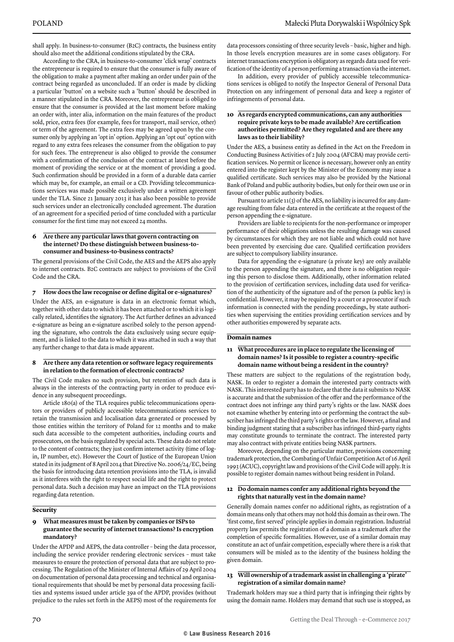shall apply. In business-to-consumer (B2C) contracts, the business entity should also meet the additional conditions stipulated by the CRA.

According to the CRA, in business-to-consumer 'click wrap' contracts the entrepreneur is required to ensure that the consumer is fully aware of the obligation to make a payment after making an order under pain of the contract being regarded as unconcluded. If an order is made by clicking a particular 'button' on a website such a 'button' should be described in a manner stipulated in the CRA. Moreover, the entrepreneur is obliged to ensure that the consumer is provided at the last moment before making an order with, inter alia, information on the main features of the product sold, price, extra fees (for example, fees for transport, mail service, other) or term of the agreement. The extra fees may be agreed upon by the consumer only by applying an 'opt in' option. Applying an 'opt out' option with regard to any extra fees releases the consumer from the obligation to pay for such fees. The entrepreneur is also obliged to provide the consumer with a confirmation of the conclusion of the contract at latest before the moment of providing the service or at the moment of providing a good. Such confirmation should be provided in a form of a durable data carrier which may be, for example, an email or a CD. Providing telecommunications services was made possible exclusively under a written agreement under the TLA. Since 21 January 2013 it has also been possible to provide such services under an electronically concluded agreement. The duration of an agreement for a specified period of time concluded with a particular consumer for the first time may not exceed 24 months.

#### **6 Are there any particular laws that govern contracting on the internet? Do these distinguish between business-toconsumer and business-to-business contracts?**

The general provisions of the Civil Code, the AES and the AEPS also apply to internet contracts. B2C contracts are subject to provisions of the Civil Code and the CRA.

#### **7 How does the law recognise or define digital or e-signatures?**

Under the AES, an e-signature is data in an electronic format which, together with other data to which it has been attached or to which it is logically related, identifies the signatory. The Act further defines an advanced e-signature as being an e-signature ascribed solely to the person appending the signature, who controls the data exclusively using secure equipment, and is linked to the data to which it was attached in such a way that any further change to that data is made apparent.

#### **8 Are there any data retention or software legacy requirements in relation to the formation of electronic contracts?**

The Civil Code makes no such provision, but retention of such data is always in the interests of the contracting party in order to produce evidence in any subsequent proceedings.

Article 180(a) of the TLA requires public telecommunications operators or providers of publicly accessible telecommunications services to retain the transmission and localisation data generated or processed by those entities within the territory of Poland for 12 months and to make such data accessible to the competent authorities, including courts and prosecutors, on the basis regulated by special acts. These data do not relate to the content of contracts; they just confirm internet activity (time of login, IP number, etc). However the Court of Justice of the European Union stated in its judgment of 8 April 2014 that Directive No. 2006/24/EC, being the basis for introducing data retention provisions into the TLA, is invalid as it interferes with the right to respect social life and the right to protect personal data. Such a decision may have an impact on the TLA provisions regarding data retention.

#### **Security**

#### **9 What measures must be taken by companies or ISPs to guarantee the security of internet transactions? Is encryption mandatory?**

Under the APDP and AEPS, the data controller – being the data processor, including the service provider rendering electronic services – must take measures to ensure the protection of personal data that are subject to processing. The Regulation of the Minister of Internal Affairs of 29 April 2004 on documentation of personal data processing and technical and organisational requirements that should be met by personal data processing facilities and systems issued under article 39a of the APDP, provides (without prejudice to the rules set forth in the AEPS) most of the requirements for data processors consisting of three security levels – basic, higher and high. In those levels encryption measures are in some cases obligatory. For internet transactions encryption is obligatory as regards data used for verification of the identity of a person performing a transaction via the internet.

In addition, every provider of publicly accessible telecommunications services is obliged to notify the Inspector General of Personal Data Protection on any infringement of personal data and keep a register of infringements of personal data.

#### **10 As regards encrypted communications, can any authorities require private keys to be made available? Are certification authorities permitted? Are they regulated and are there any laws as to their liability?**

Under the AES, a business entity as defined in the Act on the Freedom in Conducting Business Activities of 2 July 2004 (AFCBA) may provide certification services. No permit or licence is necessary, however only an entity entered into the register kept by the Minister of the Economy may issue a qualified certificate. Such services may also be provided by the National Bank of Poland and public authority bodies, but only for their own use or in favour of other public authority bodies.

Pursuant to article 11(3) of the AES, no liability is incurred for any damage resulting from false data entered in the certificate at the request of the person appending the e-signature.

Providers are liable to recipients for the non-performance or improper performance of their obligations unless the resulting damage was caused by circumstances for which they are not liable and which could not have been prevented by exercising due care. Qualified certification providers are subject to compulsory liability insurance.

Data for appending the e-signature (a private key) are only available to the person appending the signature, and there is no obligation requiring this person to disclose them. Additionally, other information related to the provision of certification services, including data used for verification of the authenticity of the signature and of the person (a public key) is confidential. However, it may be required by a court or a prosecutor if such information is connected with the pending proceedings, by state authorities when supervising the entities providing certification services and by other authorities empowered by separate acts.

#### **Domain names**

#### **11 What procedures are in place to regulate the licensing of domain names? Is it possible to register a country-specific domain name without being a resident in the country?**

These matters are subject to the regulations of the registration body, NASK. In order to register a domain the interested party contracts with NASK. This interested party has to declare that the data it submits to NASK is accurate and that the submission of the offer and the performance of the contract does not infringe any third party's rights or the law. NASK does not examine whether by entering into or performing the contract the subscriber has infringed the third party's rights or the law. However, a final and binding judgment stating that a subscriber has infringed third-party rights may constitute grounds to terminate the contract. The interested party may also contract with private entities being NASK partners.

Moreover, depending on the particular matter, provisions concerning trademark protection, the Combating of Unfair Competition Act of 16 April 1993 (ACUC), copyright law and provisions of the Civil Code will apply. It is possible to register domain names without being resident in Poland.

#### **12 Do domain names confer any additional rights beyond the rights that naturally vest in the domain name?**

Generally domain names confer no additional rights, as registration of a domain means only that others may not hold this domain as their own. The 'first come, first served' principle applies in domain registration. Industrial property law permits the registration of a domain as a trademark after the completion of specific formalities. However, use of a similar domain may constitute an act of unfair competition, especially where there is a risk that consumers will be misled as to the identity of the business holding the given domain.

#### **13 Will ownership of a trademark assist in challenging a 'pirate' registration of a similar domain name?**

Trademark holders may sue a third party that is infringing their rights by using the domain name. Holders may demand that such use is stopped, as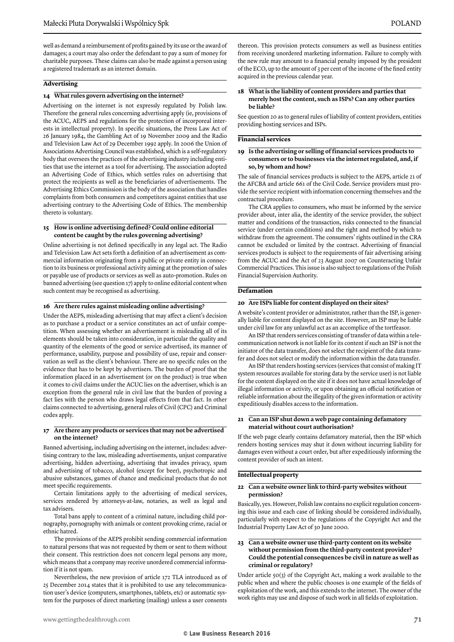well as demand a reimbursement of profits gained by its use or the award of damages; a court may also order the defendant to pay a sum of money for charitable purposes. These claims can also be made against a person using a registered trademark as an internet domain.

#### **Advertising**

#### **14 What rules govern advertising on the internet?**

Advertising on the internet is not expressly regulated by Polish law. Therefore the general rules concerning advertising apply (ie, provisions of the ACUC, AEPS and regulations for the protection of incorporeal interests in intellectual property). In specific situations, the Press Law Act of 26 January 1984, the Gambling Act of 19 November 2009 and the Radio and Television Law Act of 29 December 1992 apply. In 2006 the Union of Associations Advertising Council was established, which is a self-regulatory body that oversees the practices of the advertising industry including entities that use the internet as a tool for advertising. The association adopted an Advertising Code of Ethics, which settles rules on advertising that protect the recipients as well as the beneficiaries of advertisements. The Advertising Ethics Commission is the body of the association that handles complaints from both consumers and competitors against entities that use advertising contrary to the Advertising Code of Ethics. The membership thereto is voluntary.

#### **15 How is online advertising defined? Could online editorial content be caught by the rules governing advertising?**

Online advertising is not defined specifically in any legal act. The Radio and Television Law Act sets forth a definition of an advertisement as commercial information originating from a public or private entity in connection to its business or professional activity aiming at the promotion of sales or payable use of products or services as well as auto-promotion. Rules on banned advertising (see question 17) apply to online editorial content when such content may be recognised as advertising.

#### **16 Are there rules against misleading online advertising?**

Under the AEPS, misleading advertising that may affect a client's decision as to purchase a product or a service constitutes an act of unfair competition. When assessing whether an advertisement is misleading all of its elements should be taken into consideration, in particular the quality and quantity of the elements of the good or service advertised, its manner of performance, usability, purpose and possibility of use, repair and conservation as well as the client's behaviour. There are no specific rules on the evidence that has to be kept by advertisers. The burden of proof that the information placed in an advertisement (or on the product) is true when it comes to civil claims under the ACUC lies on the advertiser, which is an exception from the general rule in civil law that the burden of proving a fact lies with the person who draws legal effects from that fact. In other claims connected to advertising, general rules of Civil (CPC) and Criminal codes apply.

#### **17 Are there any products or services that may not be advertised on the internet?**

Banned advertising, including advertising on the internet, includes: advertising contrary to the law, misleading advertisements, unjust comparative advertising, hidden advertising, advertising that invades privacy, spam and advertising of tobacco, alcohol (except for beer), psychotropic and abusive substances, games of chance and medicinal products that do not meet specific requirements.

Certain limitations apply to the advertising of medical services, services rendered by attorneys-at-law, notaries, as well as legal and tax advisers.

Total bans apply to content of a criminal nature, including child pornography, pornography with animals or content provoking crime, racial or ethnic hatred.

The provisions of the AEPS prohibit sending commercial information to natural persons that was not requested by them or sent to them without their consent. This restriction does not concern legal persons any more, which means that a company may receive unordered commercial information if it is not spam.

Nevertheless, the new provision of article 172 TLA introduced as of 25 December 2014 states that it is prohibited to use any telecommunication user's device (computers, smartphones, tablets, etc) or automatic system for the purposes of direct marketing (mailing) unless a user consents thereon. This provision protects consumers as well as business entities from receiving unordered marketing information. Failure to comply with the new rule may amount to a financial penalty imposed by the president of the ECO, up to the amount of 3 per cent of the income of the fined entity acquired in the previous calendar year.

#### **18 What is the liability of content providers and parties that merely host the content, such as ISPs? Can any other parties be liable?**

See question 20 as to general rules of liability of content providers, entities providing hosting services and ISPs.

#### **Financial services**

#### **19 Is the advertising or selling of financial services products to consumers or to businesses via the internet regulated, and, if so, by whom and how?**

The sale of financial services products is subject to the AEPS, article 21 of the AFCBA and article 661 of the Civil Code. Service providers must provide the service recipient with information concerning themselves and the contractual procedure.

The CRA applies to consumers, who must be informed by the service provider about, inter alia, the identity of the service provider, the subject matter and conditions of the transaction, risks connected to the financial service (under certain conditions) and the right and method by which to withdraw from the agreement. The consumers' rights outlined in the CRA cannot be excluded or limited by the contract. Advertising of financial services products is subject to the requirements of fair advertising arising from the ACUC and the Act of 23 August 2007 on Counteracting Unfair Commercial Practices. This issue is also subject to regulations of the Polish Financial Supervision Authority.

#### **Defamation**

#### **20 Are ISPs liable for content displayed on their sites?**

A website's content provider or administrator, rather than the ISP, is generally liable for content displayed on the site. However, an ISP may be liable under civil law for any unlawful act as an accomplice of the tortfeasor.

An ISP that renders services consisting of transfer of data within a telecommunication network is not liable for its content if such an ISP is not the initiator of the data transfer, does not select the recipient of the data transfer and does not select or modify the information within the data transfer.

An ISP that renders hosting services (services that consist of making IT system resources available for storing data by the service user) is not liable for the content displayed on the site if it does not have actual knowledge of illegal information or activity, or upon obtaining an official notification or reliable information about the illegality of the given information or activity expeditiously disables access to the information.

#### **21 Can an ISP shut down a web page containing defamatory material without court authorisation?**

If the web page clearly contains defamatory material, then the ISP which renders hosting services may shut it down without incurring liability for damages even without a court order, but after expeditiously informing the content provider of such an intent.

#### **Intellectual property**

#### **22 Can a website owner link to third-party websites without permission?**

Basically, yes. However, Polish law contains no explicit regulation concerning this issue and each case of linking should be considered individually, particularly with respect to the regulations of the Copyright Act and the Industrial Property Law Act of 30 June 2000.

#### **23 Can a website owner use third-party content on its website without permission from the third-party content provider? Could the potential consequences be civil in nature as well as criminal or regulatory?**

Under article 50(3) of the Copyright Act, making a work available to the public when and where the public chooses is one example of the fields of exploitation of the work, and this extends to the internet. The owner of the work rights may use and dispose of such work in all fields of exploitation.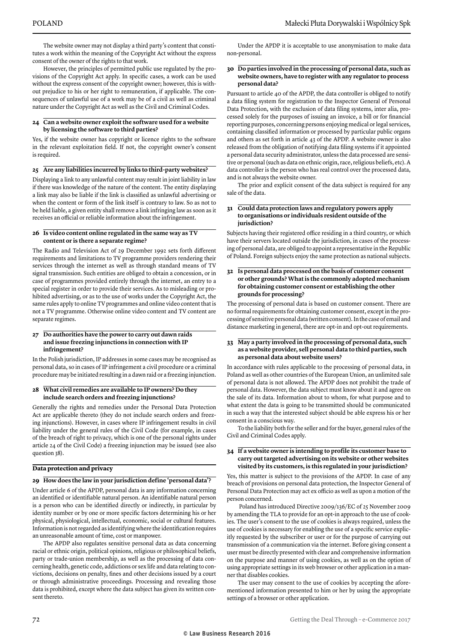The website owner may not display a third party's content that constitutes a work within the meaning of the Copyright Act without the express consent of the owner of the rights to that work.

However, the principles of permitted public use regulated by the provisions of the Copyright Act apply. In specific cases, a work can be used without the express consent of the copyright owner; however, this is without prejudice to his or her right to remuneration, if applicable. The consequences of unlawful use of a work may be of a civil as well as criminal nature under the Copyright Act as well as the Civil and Criminal Codes.

#### **24 Can a website owner exploit the software used for a website by licensing the software to third parties?**

Yes, if the website owner has copyright or licence rights to the software in the relevant exploitation field. If not, the copyright owner's consent is required.

#### **25 Are any liabilities incurred by links to third-party websites?**

Displaying a link to any unlawful content may result in joint liability in law if there was knowledge of the nature of the content. The entity displaying a link may also be liable if the link is classified as unlawful advertising or when the content or form of the link itself is contrary to law. So as not to be held liable, a given entity shall remove a link infringing law as soon as it receives an official or reliable information about the infringement.

#### **26 Is video content online regulated in the same way as TV content or is there a separate regime?**

The Radio and Television Act of 29 December 1992 sets forth different requirements and limitations to TV programme providers rendering their services through the internet as well as through standard means of TV signal transmission. Such entities are obliged to obtain a concession, or in case of programmes provided entirely through the internet, an entry to a special register in order to provide their services. As to misleading or prohibited advertising, or as to the use of works under the Copyright Act, the same rules apply to online TV programmes and online video content that is not a TV programme. Otherwise online video content and TV content are separate regimes.

#### **27 Do authorities have the power to carry out dawn raids and issue freezing injunctions in connection with IP infringement?**

In the Polish jurisdiction, IP addresses in some cases may be recognised as personal data, so in cases of IP infringement a civil procedure or a criminal procedure may be initiated resulting in a dawn raid or a freezing injunction.

#### **28 What civil remedies are available to IP owners? Do they include search orders and freezing injunctions?**

Generally the rights and remedies under the Personal Data Protection Act are applicable thereto (they do not include search orders and freezing injunctions). However, in cases where IP infringement results in civil liability under the general rules of the Civil Code (for example, in cases of the breach of right to privacy, which is one of the personal rights under article 24 of the Civil Code) a freezing injunction may be issued (see also question 38).

#### **Data protection and privacy**

#### **29 How does the law in your jurisdiction define 'personal data'?**

Under article 6 of the APDP, personal data is any information concerning an identified or identifiable natural person. An identifiable natural person is a person who can be identified directly or indirectly, in particular by identity number or by one or more specific factors determining his or her physical, physiological, intellectual, economic, social or cultural features. Information is not regarded as identifying where the identification requires an unreasonable amount of time, cost or manpower.

The APDP also regulates sensitive personal data as data concerning racial or ethnic origin, political opinions, religious or philosophical beliefs, party or trade-union membership, as well as the processing of data concerning health, genetic code, addictions or sex life and data relating to convictions, decisions on penalty, fines and other decisions issued by a court or through administrative proceedings. Processing and revealing those data is prohibited, except where the data subject has given its written consent thereto.

Under the APDP it is acceptable to use anonymisation to make data non-personal.

#### **30 Do parties involved in the processing of personal data, such as website owners, have to register with any regulator to process personal data?**

Pursuant to article 40 of the APDP, the data controller is obliged to notify a data filing system for registration to the Inspector General of Personal Data Protection, with the exclusion of data filing systems, inter alia, processed solely for the purposes of issuing an invoice, a bill or for financial reporting purposes, concerning persons enjoying medical or legal services, containing classified information or processed by particular public organs and others as set forth in article 43 of the APDP. A website owner is also released from the obligation of notifying data filing systems if it appointed a personal data security administrator, unless the data processed are sensitive or personal (such as data on ethnic origin, race, religious beliefs, etc). A data controller is the person who has real control over the processed data, and is not always the website owner.

The prior and explicit consent of the data subject is required for any sale of the data.

#### **31 Could data protection laws and regulatory powers apply to organisations or individuals resident outside of the jurisdiction?**

Subjects having their registered office residing in a third country, or which have their servers located outside the jurisdiction, in cases of the processing of personal data, are obliged to appoint a representative in the Republic of Poland. Foreign subjects enjoy the same protection as national subjects.

#### **32 Is personal data processed on the basis of customer consent or other grounds? What is the commonly adopted mechanism for obtaining customer consent or establishing the other grounds for processing?**

The processing of personal data is based on customer consent. There are no formal requirements for obtaining customer consent, except in the processing of sensitive personal data (written consent). In the case of email and distance marketing in general, there are opt-in and opt-out requirements.

#### **33 May a party involved in the processing of personal data, such as a website provider, sell personal data to third parties, such as personal data about website users?**

In accordance with rules applicable to the processing of personal data, in Poland as well as other countries of the European Union, an unlimited sale of personal data is not allowed. The APDP does not prohibit the trade of personal data. However, the data subject must know about it and agree on the sale of its data. Information about to whom, for what purpose and to what extent the data is going to be transmitted should be communicated in such a way that the interested subject should be able express his or her consent in a conscious way.

To the liability both for the seller and for the buyer, general rules of the Civil and Criminal Codes apply.

#### **34 If a website owner is intending to profile its customer base to carry out targeted advertising on its website or other websites visited by its customers, is this regulated in your jurisdiction?**

Yes, this matter is subject to the provisions of the APDP. In case of any breach of provisions on personal data protection, the Inspector General of Personal Data Protection may act ex officio as well as upon a motion of the person concerned.

 Poland has introduced Directive 2009/136/EC of 25 November 2009 by amending the TLA to provide for an opt-in approach to the use of cookies. The user's consent to the use of cookies is always required, unless the use of cookies is necessary for enabling the use of a specific service explicitly requested by the subscriber or user or for the purpose of carrying out transmission of a communication via the internet. Before giving consent a user must be directly presented with clear and comprehensive information on the purpose and manner of using cookies, as well as on the option of using appropriate settings in its web browser or other application in a manner that disables cookies.

The user may consent to the use of cookies by accepting the aforementioned information presented to him or her by using the appropriate settings of a browser or other application.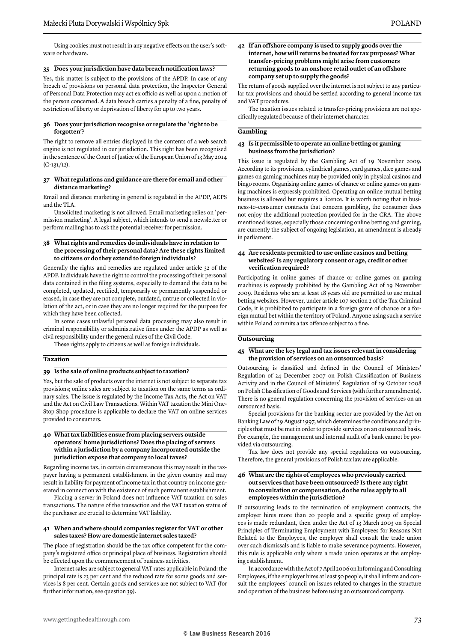Using cookies must not result in any negative effects on the user's software or hardware.

#### **35 Does your jurisdiction have data breach notification laws?**

Yes, this matter is subject to the provisions of the APDP. In case of any breach of provisions on personal data protection, the Inspector General of Personal Data Protection may act ex officio as well as upon a motion of the person concerned. A data breach carries a penalty of a fine, penalty of restriction of liberty or deprivation of liberty for up to two years.

#### **36 Does your jurisdiction recognise or regulate the 'right to be forgotten'?**

The right to remove all entries displayed in the contents of a web search engine is not regulated in our jurisdiction. This right has been recognised in the sentence of the Court of Justice of the European Union of 13 May 2014  $(C-131/12)$ .

#### **37 What regulations and guidance are there for email and other distance marketing?**

Email and distance marketing in general is regulated in the APDP, AEPS and the TLA.

Unsolicited marketing is not allowed. Email marketing relies on 'permission marketing'. A legal subject, which intends to send a newsletter or perform mailing has to ask the potential receiver for permission.

#### **38 What rights and remedies do individuals have in relation to the processing of their personal data? Are these rights limited to citizens or do they extend to foreign individuals?**

Generally the rights and remedies are regulated under article 32 of the APDP. Individuals have the right to control the processing of their personal data contained in the filing systems, especially to demand the data to be completed, updated, rectified, temporarily or permanently suspended or erased, in case they are not complete, outdated, untrue or collected in violation of the act, or in case they are no longer required for the purpose for which they have been collected.

In some cases unlawful personal data processing may also result in criminal responsibility or administrative fines under the APDP as well as civil responsibility under the general rules of the Civil Code.

These rights apply to citizens as well as foreign individuals.

#### **Taxation**

#### **39 Is the sale of online products subject to taxation?**

Yes, but the sale of products over the internet is not subject to separate tax provisions; online sales are subject to taxation on the same terms as ordinary sales. The issue is regulated by the Income Tax Acts, the Act on VAT and the Act on Civil Law Transactions. Within VAT taxation the Mini One-Stop Shop procedure is applicable to declare the VAT on online services provided to consumers.

#### **40 What tax liabilities ensue from placing servers outside operators' home jurisdictions? Does the placing of servers within a jurisdiction by a company incorporated outside the jurisdiction expose that company to local taxes?**

Regarding income tax, in certain circumstances this may result in the taxpayer having a permanent establishment in the given country and may result in liability for payment of income tax in that country on income generated in connection with the existence of such permanent establishment.

Placing a server in Poland does not influence VAT taxation on sales transactions. The nature of the transaction and the VAT taxation status of the purchaser are crucial to determine VAT liability.

#### **41 When and where should companies register for VAT or other sales taxes? How are domestic internet sales taxed?**

The place of registration should be the tax office competent for the company's registered office or principal place of business. Registration should be effected upon the commencement of business activities.

Internet sales are subject to general VAT rates applicable in Poland: the principal rate is 23 per cent and the reduced rate for some goods and services is 8 per cent. Certain goods and services are not subject to VAT (for further information, see question 39).

**42 If an offshore company is used to supply goods over the internet, how will returns be treated for tax purposes? What transfer-pricing problems might arise from customers returning goods to an onshore retail outlet of an offshore company set up to supply the goods?** 

The return of goods supplied over the internet is not subject to any particular tax provisions and should be settled according to general income tax and VAT procedures.

The taxation issues related to transfer-pricing provisions are not specifically regulated because of their internet character.

#### **Gambling**

#### **43 Is it permissible to operate an online betting or gaming business from the jurisdiction?**

This issue is regulated by the Gambling Act of 19 November 2009. According to its provisions, cylindrical games, card games, dice games and games on gaming machines may be provided only in physical casinos and bingo rooms. Organising online games of chance or online games on gaming machines is expressly prohibited. Operating an online mutual betting business is allowed but requires a licence. It is worth noting that in business-to-consumer contracts that concern gambling, the consumer does not enjoy the additional protection provided for in the CRA. The above mentioned issues, especially those concerning online betting and gaming, are currently the subject of ongoing legislation, an amendment is already in parliament.

#### **44 Are residents permitted to use online casinos and betting websites? Is any regulatory consent or age, credit or other verification required?**

Participating in online games of chance or online games on gaming machines is expressly prohibited by the Gambling Act of 19 November 2009. Residents who are at least 18 years old are permitted to use mutual betting websites. However, under article 107 section 2 of the Tax Criminal Code, it is prohibited to participate in a foreign game of chance or a foreign mutual bet within the territory of Poland. Anyone using such a service within Poland commits a tax offence subject to a fine.

#### **Outsourcing**

#### **45 What are the key legal and tax issues relevant in considering the provision of services on an outsourced basis?**

Outsourcing is classified and defined in the Council of Ministers' Regulation of 24 December 2007 on Polish Classification of Business Activity and in the Council of Ministers' Regulation of 29 October 2008 on Polish Classification of Goods and Services (with further amendments). There is no general regulation concerning the provision of services on an outsourced basis.

Special provisions for the banking sector are provided by the Act on Banking Law of 29 August 1997, which determines the conditions and principles that must be met in order to provide services on an outsourced basis. For example, the management and internal audit of a bank cannot be provided via outsourcing.

Tax law does not provide any special regulations on outsourcing. Therefore, the general provisions of Polish tax law are applicable.

#### **46 What are the rights of employees who previously carried out services that have been outsourced? Is there any right to consultation or compensation, do the rules apply to all employees within the jurisdiction?**

If outsourcing leads to the termination of employment contracts, the employer hires more than 20 people and a specific group of employees is made redundant, then under the Act of 13 March 2003 on Special Principles of Terminating Employment with Employees for Reasons Not Related to the Employees, the employer shall consult the trade union over such dismissals and is liable to make severance payments. However, this rule is applicable only where a trade union operates at the employing establishment.

In accordance with the Act of 7 April 2006 on Informing and Consulting Employees, if the employer hires at least 50 people, it shall inform and consult the employees' council on issues related to changes in the structure and operation of the business before using an outsourced company.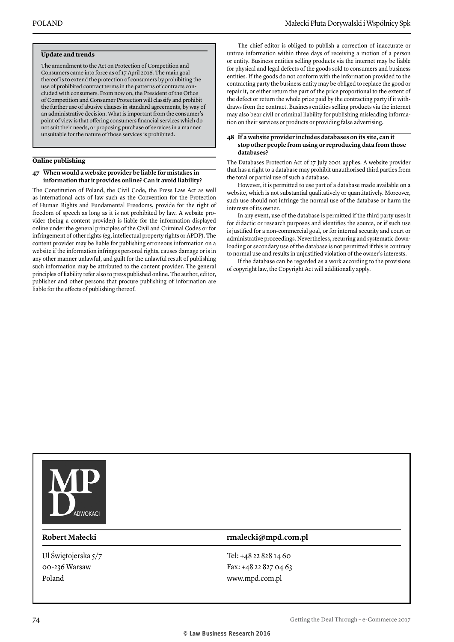#### **Update and trends**

The amendment to the Act on Protection of Competition and Consumers came into force as of 17 April 2016. The main goal thereof is to extend the protection of consumers by prohibiting the use of prohibited contract terms in the patterns of contracts concluded with consumers. From now on, the President of the Office of Competition and Consumer Protection will classify and prohibit the further use of abusive clauses in standard agreements, by way of an administrative decision. What is important from the consumer's point of view is that offering consumers financial services which do not suit their needs, or proposing purchase of services in a manner unsuitable for the nature of those services is prohibited.

#### **Online publishing**

#### **47 When would a website provider be liable for mistakes in information that it provides online? Can it avoid liability?**

The Constitution of Poland, the Civil Code, the Press Law Act as well as international acts of law such as the Convention for the Protection of Human Rights and Fundamental Freedoms, provide for the right of freedom of speech as long as it is not prohibited by law. A website provider (being a content provider) is liable for the information displayed online under the general principles of the Civil and Criminal Codes or for infringement of other rights (eg, intellectual property rights or APDP). The content provider may be liable for publishing erroneous information on a website if the information infringes personal rights, causes damage or is in any other manner unlawful, and guilt for the unlawful result of publishing such information may be attributed to the content provider. The general principles of liability refer also to press published online. The author, editor, publisher and other persons that procure publishing of information are liable for the effects of publishing thereof.

The chief editor is obliged to publish a correction of inaccurate or untrue information within three days of receiving a motion of a person or entity. Business entities selling products via the internet may be liable for physical and legal defects of the goods sold to consumers and business entities. If the goods do not conform with the information provided to the contracting party the business entity may be obliged to replace the good or repair it, or either return the part of the price proportional to the extent of the defect or return the whole price paid by the contracting party if it withdraws from the contract. Business entities selling products via the internet may also bear civil or criminal liability for publishing misleading information on their services or products or providing false advertising.

#### **48 If a website provider includes databases on its site, can it stop other people from using or reproducing data from those databases?**

The Databases Protection Act of 27 July 2001 applies. A website provider that has a right to a database may prohibit unauthorised third parties from the total or partial use of such a database.

However, it is permitted to use part of a database made available on a website, which is not substantial qualitatively or quantitatively. Moreover, such use should not infringe the normal use of the database or harm the interests of its owner.

In any event, use of the database is permitted if the third party uses it for didactic or research purposes and identifies the source, or if such use is justified for a non-commercial goal, or for internal security and court or administrative proceedings. Nevertheless, recurring and systematic downloading or secondary use of the database is not permitted if this is contrary to normal use and results in unjustified violation of the owner's interests.

If the database can be regarded as a work according to the provisions of copyright law, the Copyright Act will additionally apply.



Ul Świętojerska 5/7 00-236 Warsaw Poland

#### **Robert Małecki rmalecki@mpd.com.pl**

Tel: +48 22 828 14 60 Fax: +48 22 827 04 63 www.mpd.com.pl